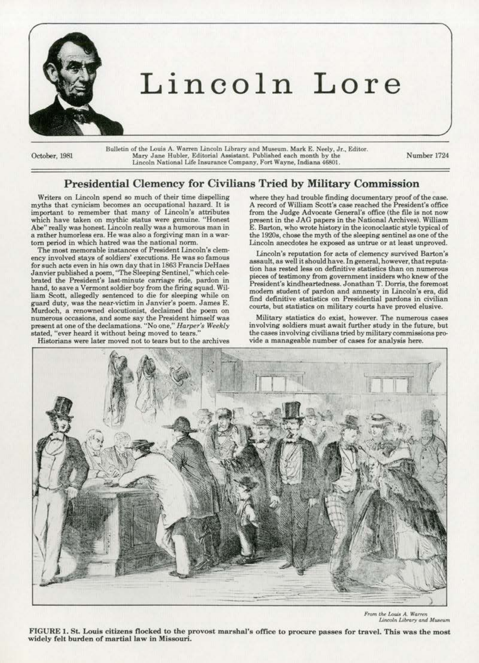

# Lincoln Lore

October, 1981

Bulletin of the Louis A. Warren Lincoln Library and Museum. Mark E. Neely, Jr., Editor. Mary Jane Hubler, Editorial Assistant. Published each month by the<br>Lincoln National Life Insurance Company, Fort Wayne, Indiana 46801.

Number 1724

# **Presidential Clemency for Civilians Tried by Military Commission**

Writers on Lincoln spend so much of their time dispelling myths that cynicism becomes an occupational hazard. It is important to remember that many of Lincoln's attributes which have taken on mythic status were genuine. "Honest Abe" really was honest. Lincoln really was a humorous man in a rather humorless era. He was also a forgiving man in a wartorn period in which hatred was the national norm.

The most memorable instances of President Lincoln's clemency involved stays of soldiers' executions. He was so famous for such acts even in his own day that in 1863 Francis DeHaes Janvier published a poem, "The Sleeping Sentinel," which celebrated the President's last-minute carriage ride, pardon in hand, to save a Vermont soldier boy from the firing squad. William Scott, allegedly sentenced to die for sleeping while on guard duty, was the near-victim in Janvier's poem. James E. Murdoch, a renowned elocutionist, declaimed the poem on numerous occasions, and some say the President himself was present at one of the declamations. "No one," Harper's Weekly stated, "ever heard it without being moved to tears."

Historians were later moved not to tears but to the archives

where they had trouble finding documentary proof of the case. A record of William Scott's case reached the President's office from the Judge Advocate General's office (the file is not now present in the JAG papers in the National Archives). William E. Barton, who wrote history in the iconoclastic style typical of the 1920s, chose the myth of the sleeping sentinel as one of the Lincoln anecdotes he exposed as untrue or at least unproved.

Lincoln's reputation for acts of clemency survived Barton's assault, as well it should have. In general, however, that reputation has rested less on definitive statistics than on numerous pieces of testimony from government insiders who knew of the President's kindheartedness. Jonathan T. Dorris, the foremost modern student of pardon and amnesty in Lincoln's era, did find definitive statistics on Presidential pardons in civilian courts, but statistics on military courts have proved elusive.

Military statistics do exist, however. The numerous cases involving soldiers must await further study in the future, but the cases involving civilians tried by military commissions provide a manageable number of cases for analysis here.



From the Louis A. Warren Lincoln Library and Museum

FIGURE 1. St. Louis citizens flocked to the provost marshal's office to procure passes for travel. This was the most widely felt burden of martial law in Missouri.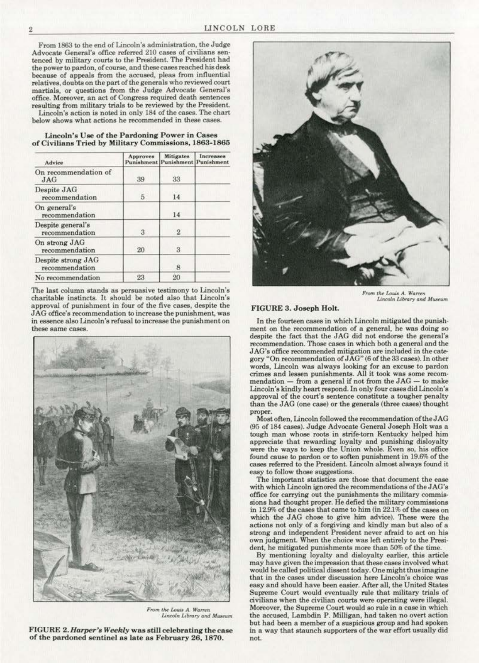From 1863 to the end of Lincoln's administration, the Judge Advocate General's office referred 210 cases of civilians sentenced by military courts to the President. The President had the power to pardon, of course, and these cases reached his desk because of appeals from the accused, pleas from influential relatives, doubts on the part of the generals who reviewed court martials, or questions from the Judge Advocate General's office. Moreover, an act of Congress required death sentences resulting from military trials to be reviewed by the President. Lincoln's action is noted in only 184 of the cases. The chart

below shows what actions he recommended in these cases.

|  |  |  | Lincoln's Use of the Pardoning Power in Cases |                                                       |
|--|--|--|-----------------------------------------------|-------------------------------------------------------|
|  |  |  |                                               | of Civilians Tried by Military Commissions, 1863-1865 |

| Advice                               | Approves       | <b>Mitigates</b><br><b>Punishment Punishment Punishment</b> | Increases |
|--------------------------------------|----------------|-------------------------------------------------------------|-----------|
| On recommendation of<br>JAG          | 39             | 33                                                          |           |
| Despite JAG<br>recommendation        | $\overline{5}$ | 14                                                          |           |
| On general's<br>recommendation       |                | 14                                                          |           |
| Despite general's<br>recommendation  | 3              | $\overline{2}$                                              |           |
| On strong JAG<br>recommendation      | 20             | 3                                                           |           |
| Despite strong JAG<br>recommendation |                | 8                                                           |           |
| No recommendation                    | 23             | 20                                                          |           |

The last column stands as persuasive testimony to Lincoln's charitable instincts. It should be noted also that Lincoln's approval of punishment in four of the five cases, despite the JAG office's recommendation to increase the punishment, was in essence also Lincoln's refusal to increase the punishment on these same cases.



From the Louis A. Warren Lincoln Library and Museum

FIGURE 2. Harper's Weekly was still celebrating the case of the pardoned sentinel as late as February 26, 1870.



From the Louis A. Warren<br>Lincoln Library and Museum

#### FIGURE 3. Joseph Holt.

In the fourteen cases in which Lincoln mitigated the punishment on the recommendation of a general, he was doing so despite the fact that the JAG did not endorse the general's recommendation. Those cases in which both a general and the JAG's office recommended mitigation are included in the category "On recommendation of JAG" (6 of the 33 cases). In other words, Lincoln was always looking for an excuse to pardon crimes and lessen punishments. All it took was some recommendation  $-$  from a general if not from the JAG  $-$  to make Lincoln's kindly heart respond. In only four cases did Lincoln's approval of the court's sentence constitute a tougher penalty than the JAG (one case) or the generals (three cases) thought proper.

Most often, Lincoln followed the recommendation of the JAG (95 of 184 cases). Judge Advocate General Joseph Holt was a tough man whose roots in strife-torn Kentucky helped him appreciate that rewarding loyalty and punishing disloyalty were the ways to keep the Union whole. Even so, his office found cause to pardon or to soften punishment in 19.6% of the cases referred to the President. Lincoln almost always found it easy to follow those suggestions.

The important statistics are those that document the ease with which Lincoln ignored the recommendations of the JAG's office for carrying out the punishments the military commissions had thought proper. He defied the military commissions in 12.9% of the cases that came to him (in 22.1% of the cases on which the JAG chose to give him advice). These were the actions not only of a forgiving and kindly man but also of a strong and independent President never afraid to act on his own judgment. When the choice was left entirely to the President, he mitigated punishments more than 50% of the time.

By mentioning loyalty and disloyalty earlier, this article may have given the impression that these cases involved what would be called political dissent today. One might thus imagine that in the cases under discussion here Lincoln's choice was easy and should have been easier. After all, the United States Supreme Court would eventually rule that military trials of civilians when the civilian courts were operating were illegal. Moreover, the Supreme Court would so rule in a case in which the accused, Lambdin P. Milligan, had taken no overt action but had been a member of a suspicious group and had spoken in a way that staunch supporters of the war effort usually did not.

 $\rm{2}$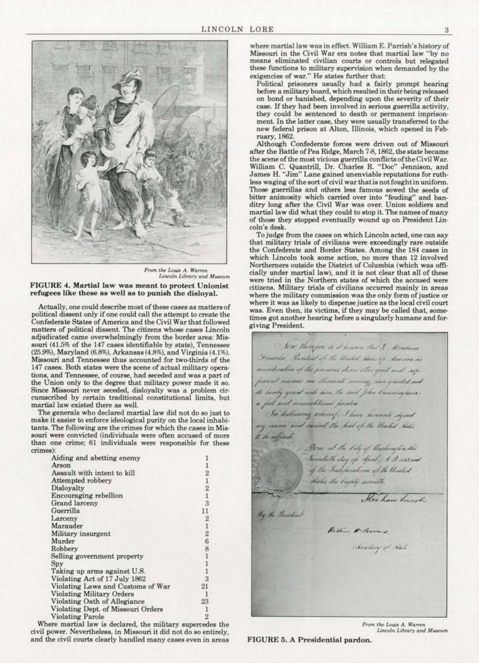

From the Louis A. Warren<br>Lincoln Library and Museum FIGURE 4. Martial law was meant to protect Unionist refugees like these as well as to punish the disloyal.

Actually, one could describe most of these cases as matters of political dissent only if one could call the attempt to create the Confederate States of America and the Civil War that followed matters of political dissent. The citizens whose cases Lincoln adjudicated came overwhelmingly from the border area: Missouri (41.5% of the 147 cases identifiable by state), Tennessee (25.9%), Maryland (6.8%), Arkansas (4.8%), and Virginia (4.1%). Missouri and Tennessee thus accounted for two-thirds of the 147 cases. Both states were the scene of actual military operations, and Tennessee, of course, had seceded and was a part of the Union only to the degree that military power made it so. Since Missouri never seceded, disloyalty was a problem circumscribed by certain traditional constitutional limits, but martial law existed there as well.

The generals who declared martial law did not do so just to make it easier to enforce ideological purity on the local inhabitants. The following are the crimes for which the cases in Missouri were convicted (individuals were often accused of more than one crime; 61 individuals were responsible for these crimes):

| Aiding and abetting enemy          |                                                 |
|------------------------------------|-------------------------------------------------|
| Arson                              |                                                 |
| Assault with intent to kill        |                                                 |
| Attempted robbery                  |                                                 |
| Disloyalty                         |                                                 |
| Encouraging rebellion              | $\begin{array}{c} 2 \\ 1 \\ 2 \\ 1 \end{array}$ |
| Grand larceny                      | $\overline{\overline{3}}$                       |
| Guerrilla                          | 11                                              |
| Larceny                            | $\boldsymbol{2}$                                |
| Marauder                           | 1                                               |
| Military insurgent                 | $\overline{2}$                                  |
| Murder                             | $\ddot{6}$                                      |
| Robbery                            | 8                                               |
| Selling government property        | 1                                               |
| Spy                                | $\frac{1}{1}$                                   |
| Taking up arms against U.S.        |                                                 |
| Violating Act of 17 July 1862      | 3                                               |
| Violating Laws and Customs of War  | 21                                              |
| <b>Violating Military Orders</b>   | -1                                              |
| Violating Oath of Allegiance       | 23                                              |
| Violating Dept. of Missouri Orders |                                                 |
| <b>Violating Parole</b>            | $\overline{2}$                                  |

Where martial law is declared, the military supercedes the civil power. Nevertheless, in Missouri it did not do so entirely, and the civil courts clearly handled many cases even in areas

where martial law was in effect. William E. Parrish's history of Missouri in the Civil War era notes that martial law "by no means eliminated civilian courts or controls but relegated these functions to military supervision when demanded by the exigencies of war." He states further that:

Political prisoners usually had a fairly prompt hearing before a military board, which resulted in their being released on bond or banished, depending upon the severity of their case. If they had been involved in serious guerrilla activity. they could be sentenced to death or permanent imprisonment. In the latter case, they were usually transferred to the new federal prison at Alton, Illinois, which opened in February, 1862.

Although Confederate forces were driven out of Missouri after the Battle of Pea Ridge, March 7-8, 1862, the state became the scene of the most vicious guerrilla conflicts of the Civil War.<br>William C. Quantrill, Dr. Charles R. "Doc" Jennison, and<br>James H. "Jim" Lane gained unenviable reputations for ruthless waging of the sort of civil war that is not fought in uniform. Those guerrillas and others less famous sowed the seeds of bitter animosity which carried over into "feuding" and banditry long after the Civil War was over. Union soldiers and martial law did what they could to stop it. The names of many of those they stopped eventually wound up on President Lincoln's desk.

To judge from the cases on which Lincoln acted, one can say that military trials of civilians were exceedingly rare outside the Confederate and Border States. Among the 184 cases in which Lincoln took some action, no more than 12 involved Northerners outside the District of Columbia (which was officially under martial law), and it is not clear that all of these were tried in the Northern states of which the accused were citizens. Military trials of civilians occurred mainly in areas where the military commission was the only form of justice or where it was as likely to dispense justice as the local civil court was. Even then, its victims, if they may be called that, sometimes got another hearing before a singularly humane and forgiving President.

Now thirser, is it haven that & Accommo Dinector, Postulant of the United States of Louveau, consideration of the premises decree other good and supfecent reasons me thereants moving, new granted and de hereby grant unte here, the said John Enumingham, a full and uncenditional parties. In testimony whereof, I have hereunto signed my name and canned the Seal of the United States te be affixed Dene at the City of Hashington, this Twentieth day of Afril AB 5.62 and<br>of the Independence of the United States the Eighty seconts. Alve haw Sincol By the President Hellin & Sewans Secretary of Said

From the Louis A. Warren Lincoln Library and Museum

FIGURE 5. A Presidential pardon.